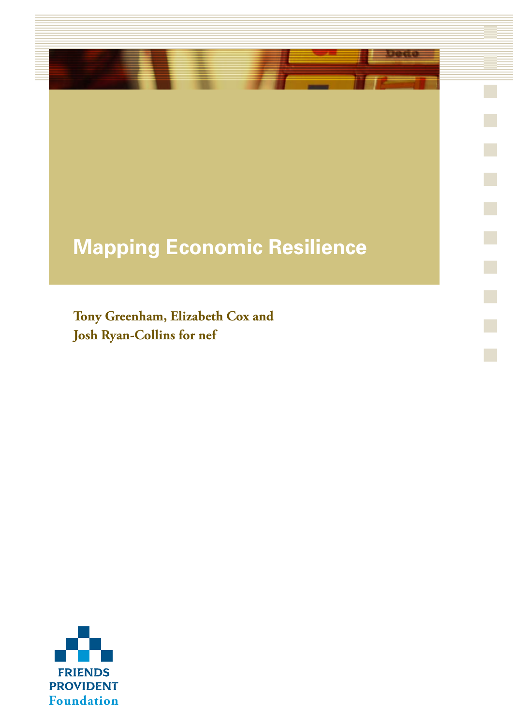### **Mapping Economic Resilience**

 $\mathcal{L}_{\mathcal{A}}$ 

r.

 $\mathbb{R}^n$ 

**Tony Greenham, Elizabeth Cox and Josh Ryan-Collins for nef**

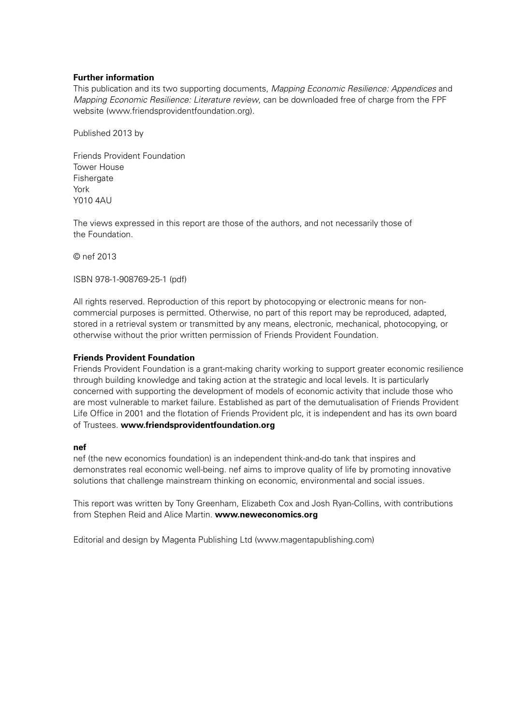#### **Further information**

This publication and its two supporting documents, *Mapping Economic Resilience: Appendices* and *Mapping Economic Resilience: Literature review*, can be downloaded free of charge from the FPF website (www.friendsprovidentfoundation.org).

Published 2013 by

Friends Provident Foundation Tower House Fishergate York Y010 4AU

The views expressed in this report are those of the authors, and not necessarily those of the Foundation.

© nef 2013

ISBN 978-1-908769-25-1 (pdf)

All rights reserved. Reproduction of this report by photocopying or electronic means for noncommercial purposes is permitted. Otherwise, no part of this report may be reproduced, adapted, stored in a retrieval system or transmitted by any means, electronic, mechanical, photocopying, or otherwise without the prior written permission of Friends Provident Foundation.

#### **Friends Provident Foundation**

Friends Provident Foundation is a grant-making charity working to support greater economic resilience through building knowledge and taking action at the strategic and local levels. It is particularly concerned with supporting the development of models of economic activity that include those who are most vulnerable to market failure. Established as part of the demutualisation of Friends Provident Life Office in 2001 and the flotation of Friends Provident plc, it is independent and has its own board of Trustees. **www.friendsprovidentfoundation.org**

#### **nef**

nef (the new economics foundation) is an independent think-and-do tank that inspires and demonstrates real economic well-being. nef aims to improve quality of life by promoting innovative solutions that challenge mainstream thinking on economic, environmental and social issues.

This report was written by Tony Greenham, Elizabeth Cox and Josh Ryan-Collins, with contributions from Stephen Reid and Alice Martin. **www.neweconomics.org**

Editorial and design by Magenta Publishing Ltd (www.magentapublishing.com)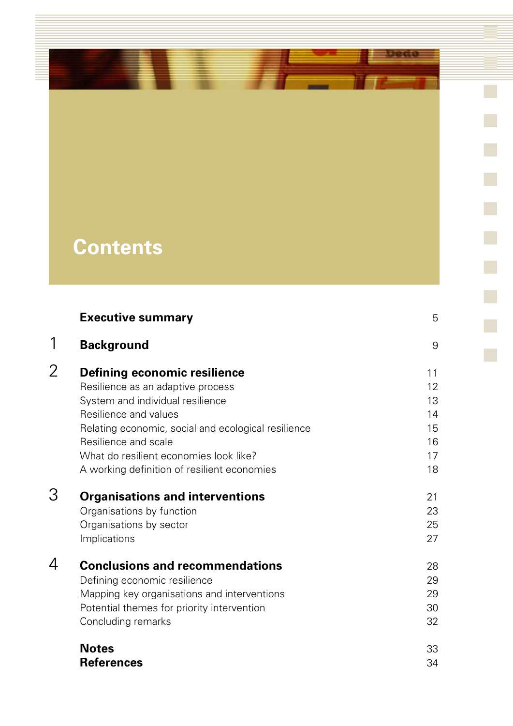### **Contents**

ı

|   | <b>Executive summary</b>                                                                                                                                                                                                                                                                               | 5                                            |
|---|--------------------------------------------------------------------------------------------------------------------------------------------------------------------------------------------------------------------------------------------------------------------------------------------------------|----------------------------------------------|
| 1 | <b>Background</b>                                                                                                                                                                                                                                                                                      | 9                                            |
| 2 | Defining economic resilience<br>Resilience as an adaptive process<br>System and individual resilience<br>Resilience and values<br>Relating economic, social and ecological resilience<br>Resilience and scale<br>What do resilient economies look like?<br>A working definition of resilient economies | 11<br>12<br>13<br>14<br>15<br>16<br>17<br>18 |
| З | <b>Organisations and interventions</b><br>Organisations by function<br>Organisations by sector<br>Implications                                                                                                                                                                                         | 21<br>23<br>25<br>27                         |
| 4 | <b>Conclusions and recommendations</b><br>Defining economic resilience<br>Mapping key organisations and interventions<br>Potential themes for priority intervention<br>Concluding remarks                                                                                                              | 28<br>29<br>29<br>30<br>32                   |
|   | <b>Notes</b><br><b>References</b>                                                                                                                                                                                                                                                                      | 33<br>34                                     |

Deco

 $\overline{\mathbb{R}}$ 

 $\mathcal{L}_{\mathcal{A}}$ 

a.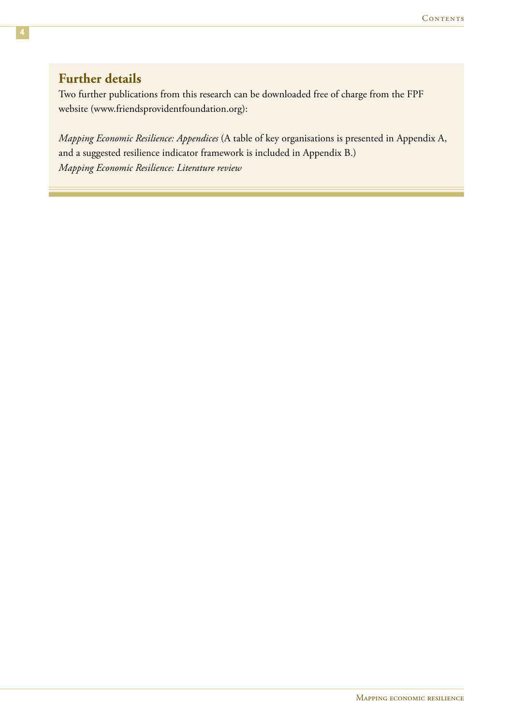### **Further details**

Two further publications from this research can be downloaded free of charge from the FPF website (www.friendsprovidentfoundation.org):

*Mapping Economic Resilience: Appendices* (A table of key organisations is presented in Appendix A, and a suggested resilience indicator framework is included in Appendix B.) *Mapping Economic Resilience: Literature review*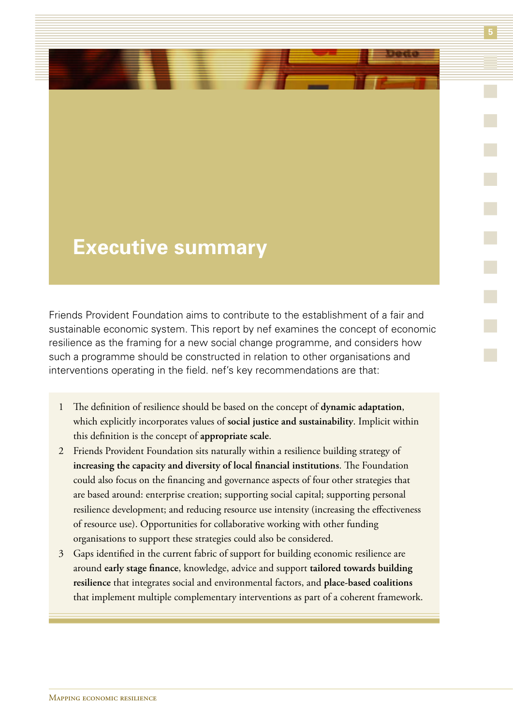### **Executive summary**

Friends Provident Foundation aims to contribute to the establishment of a fair and sustainable economic system. This report by nef examines the concept of economic resilience as the framing for a new social change programme, and considers how such a programme should be constructed in relation to other organisations and interventions operating in the field. nef's key recommendations are that:

- 1 The definition of resilience should be based on the concept of **dynamic adaptation**, which explicitly incorporates values of **social justice and sustainability**. Implicit within this definition is the concept of **appropriate scale**.
- 2 Friends Provident Foundation sits naturally within a resilience building strategy of **increasing the capacity and diversity of local financial institutions**. The Foundation could also focus on the financing and governance aspects of four other strategies that are based around: enterprise creation; supporting social capital; supporting personal resilience development; and reducing resource use intensity (increasing the effectiveness of resource use). Opportunities for collaborative working with other funding organisations to support these strategies could also be considered.
- 3 Gaps identified in the current fabric of support for building economic resilience are around **early stage finance**, knowledge, advice and support **tailored towards building resilience** that integrates social and environmental factors, and **place-based coalitions** that implement multiple complementary interventions as part of a coherent framework.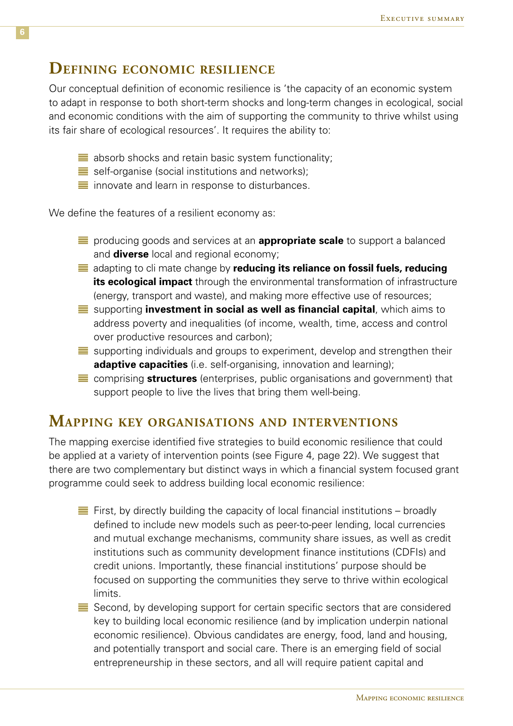### **Defining economic resilience**

Our conceptual definition of economic resilience is 'the capacity of an economic system to adapt in response to both short-term shocks and long-term changes in ecological, social and economic conditions with the aim of supporting the community to thrive whilst using its fair share of ecological resources'. It requires the ability to:

- $\equiv$  absorb shocks and retain basic system functionality;
- $\equiv$  self-organise (social institutions and networks);
- $\equiv$  innovate and learn in response to disturbances.

We define the features of a resilient economy as:

- **E** producing goods and services at an **appropriate scale** to support a balanced and **diverse** local and regional economy;
- adapting to cli mate change by **reducing its reliance on fossil fuels, reducing its ecological impact** through the environmental transformation of infrastructure (energy, transport and waste), and making more effective use of resources;
- supporting **investment in social as well as financial capital**, which aims to address poverty and inequalities (of income, wealth, time, access and control over productive resources and carbon);
- $\equiv$  supporting individuals and groups to experiment, develop and strengthen their **adaptive capacities** (i.e. self-organising, innovation and learning);
- comprising **structures** (enterprises, public organisations and government) that support people to live the lives that bring them well-being.

### **Mapping key organisations and interventions**

The mapping exercise identified five strategies to build economic resilience that could be applied at a variety of intervention points (see Figure 4, page 22). We suggest that there are two complementary but distinct ways in which a financial system focused grant programme could seek to address building local economic resilience:

- $\equiv$  First, by directly building the capacity of local financial institutions broadly defined to include new models such as peer-to-peer lending, local currencies and mutual exchange mechanisms, community share issues, as well as credit institutions such as community development finance institutions (CDFIs) and credit unions. Importantly, these financial institutions' purpose should be focused on supporting the communities they serve to thrive within ecological limits.
- $\equiv$  Second, by developing support for certain specific sectors that are considered key to building local economic resilience (and by implication underpin national economic resilience). Obvious candidates are energy, food, land and housing, and potentially transport and social care. There is an emerging field of social entrepreneurship in these sectors, and all will require patient capital and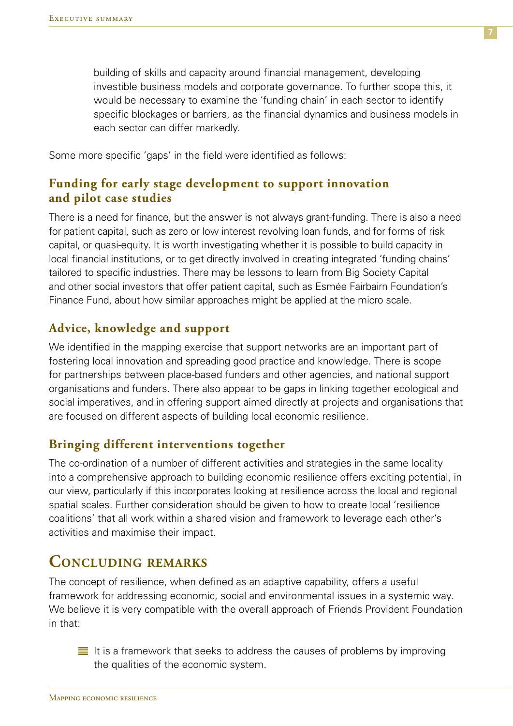building of skills and capacity around financial management, developing investible business models and corporate governance. To further scope this, it would be necessary to examine the 'funding chain' in each sector to identify specific blockages or barriers, as the financial dynamics and business models in each sector can differ markedly.

Some more specific 'gaps' in the field were identified as follows:

### **Funding for early stage development to support innovation and pilot case studies**

There is a need for finance, but the answer is not always grant-funding. There is also a need for patient capital, such as zero or low interest revolving loan funds, and for forms of risk capital, or quasi-equity. It is worth investigating whether it is possible to build capacity in local financial institutions, or to get directly involved in creating integrated 'funding chains' tailored to specific industries. There may be lessons to learn from Big Society Capital and other social investors that offer patient capital, such as Esmée Fairbairn Foundation's Finance Fund, about how similar approaches might be applied at the micro scale.

### **Advice, knowledge and support**

We identified in the mapping exercise that support networks are an important part of fostering local innovation and spreading good practice and knowledge. There is scope for partnerships between place-based funders and other agencies, and national support organisations and funders. There also appear to be gaps in linking together ecological and social imperatives, and in offering support aimed directly at projects and organisations that are focused on different aspects of building local economic resilience.

### **Bringing different interventions together**

The co-ordination of a number of different activities and strategies in the same locality into a comprehensive approach to building economic resilience offers exciting potential, in our view, particularly if this incorporates looking at resilience across the local and regional spatial scales. Further consideration should be given to how to create local 'resilience coalitions' that all work within a shared vision and framework to leverage each other's activities and maximise their impact.

### **Concluding remarks**

The concept of resilience, when defined as an adaptive capability, offers a useful framework for addressing economic, social and environmental issues in a systemic way. We believe it is very compatible with the overall approach of Friends Provident Foundation in that:

 $\equiv$  It is a framework that seeks to address the causes of problems by improving the qualities of the economic system.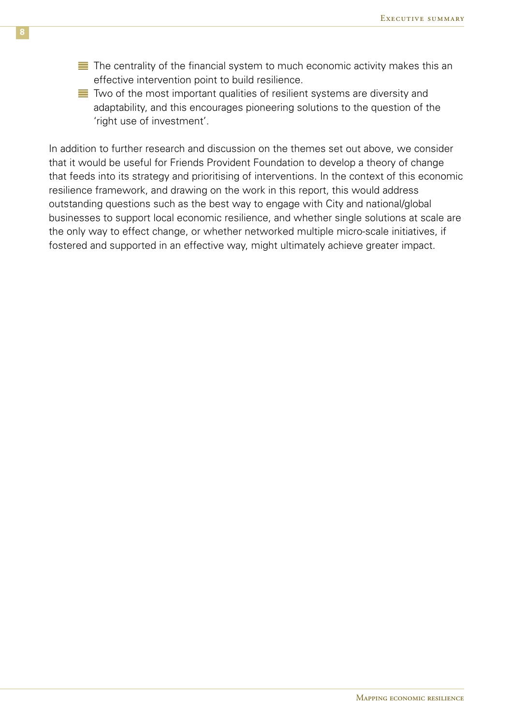- $\equiv$  The centrality of the financial system to much economic activity makes this an effective intervention point to build resilience.
- $\equiv$  Two of the most important qualities of resilient systems are diversity and adaptability, and this encourages pioneering solutions to the question of the 'right use of investment'.

In addition to further research and discussion on the themes set out above, we consider that it would be useful for Friends Provident Foundation to develop a theory of change that feeds into its strategy and prioritising of interventions. In the context of this economic resilience framework, and drawing on the work in this report, this would address outstanding questions such as the best way to engage with City and national/global businesses to support local economic resilience, and whether single solutions at scale are the only way to effect change, or whether networked multiple micro-scale initiatives, if fostered and supported in an effective way, might ultimately achieve greater impact.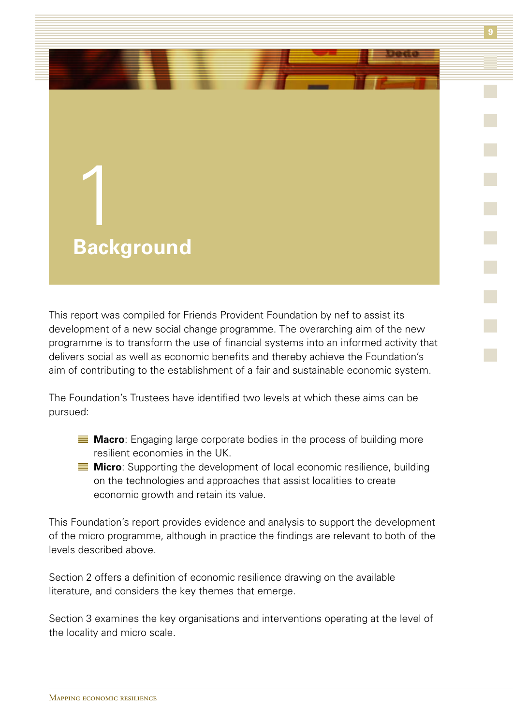

This report was compiled for Friends Provident Foundation by nef to assist its development of a new social change programme. The overarching aim of the new programme is to transform the use of financial systems into an informed activity that delivers social as well as economic benefits and thereby achieve the Foundation's aim of contributing to the establishment of a fair and sustainable economic system.

The Foundation's Trustees have identified two levels at which these aims can be pursued:

- **Macro**: Engaging large corporate bodies in the process of building more resilient economies in the UK.
- **Micro**: Supporting the development of local economic resilience, building on the technologies and approaches that assist localities to create economic growth and retain its value.

This Foundation's report provides evidence and analysis to support the development of the micro programme, although in practice the findings are relevant to both of the levels described above.

Section 2 offers a definition of economic resilience drawing on the available literature, and considers the key themes that emerge.

Section 3 examines the key organisations and interventions operating at the level of the locality and micro scale.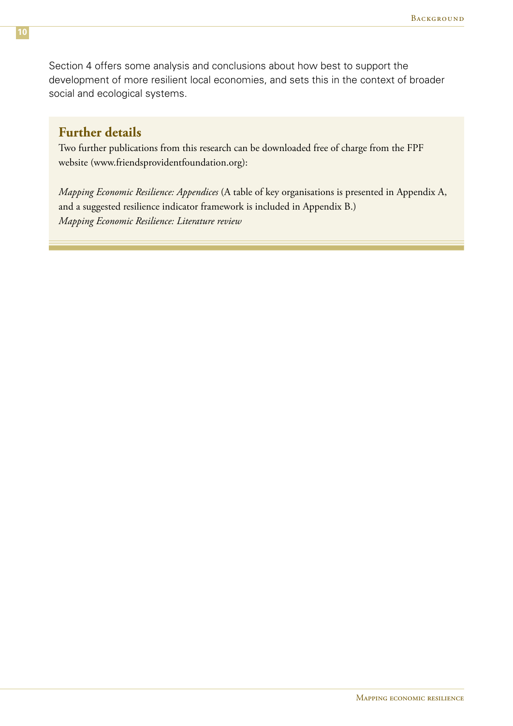Section 4 offers some analysis and conclusions about how best to support the development of more resilient local economies, and sets this in the context of broader social and ecological systems.

### **Further details**

Two further publications from this research can be downloaded free of charge from the FPF website (www.friendsprovidentfoundation.org):

*Mapping Economic Resilience: Appendices* (A table of key organisations is presented in Appendix A, and a suggested resilience indicator framework is included in Appendix B.) *Mapping Economic Resilience: Literature review*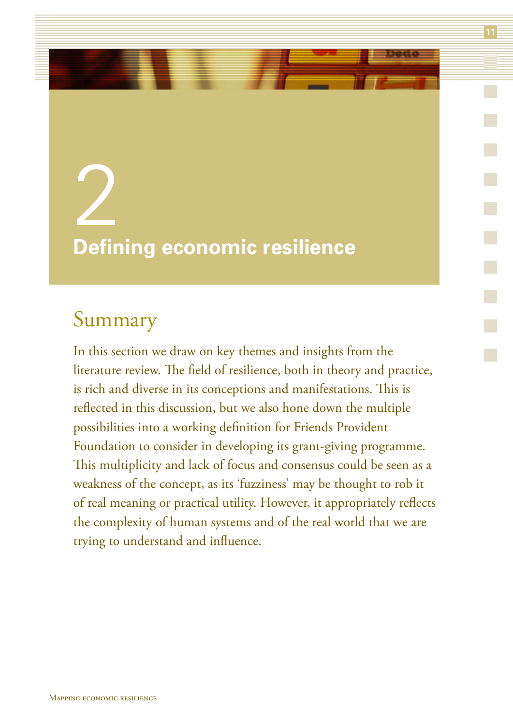# 2 **Defining economic resilience**

### Summary

In this section we draw on key themes and insights from the literature review. The field of resilience, both in theory and practice, is rich and diverse in its conceptions and manifestations. This is reflected in this discussion, but we also hone down the multiple possibilities into a working definition for Friends Provident Foundation to consider in developing its grant-giving programme. This multiplicity and lack of focus and consensus could be seen as a weakness of the concept, as its 'fuzziness' may be thought to rob it of real meaning or practical utility. However, it appropriately reflects the complexity of human systems and of the real world that we are trying to understand and influence.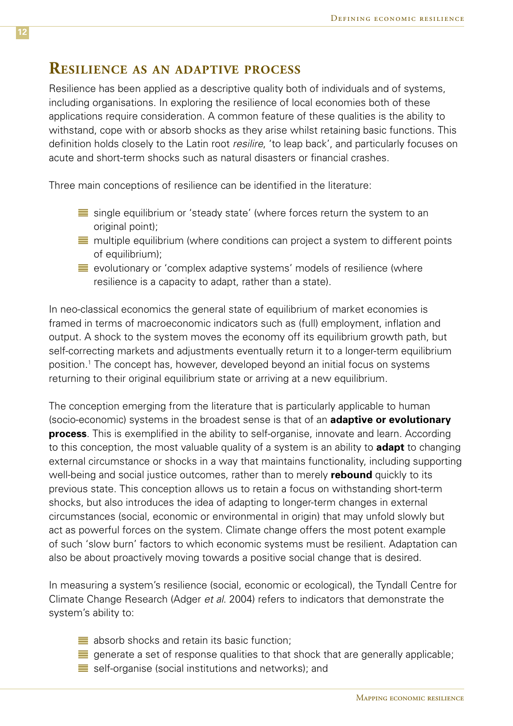### **Resilience as an adaptive process**

Resilience has been applied as a descriptive quality both of individuals and of systems, including organisations. In exploring the resilience of local economies both of these applications require consideration. A common feature of these qualities is the ability to withstand, cope with or absorb shocks as they arise whilst retaining basic functions. This definition holds closely to the Latin root *resilire*, 'to leap back', and particularly focuses on acute and short-term shocks such as natural disasters or financial crashes.

Three main conceptions of resilience can be identified in the literature:

- $\equiv$  single equilibrium or 'steady state' (where forces return the system to an original point);
- $\equiv$  multiple equilibrium (where conditions can project a system to different points of equilibrium);
- $\equiv$  evolutionary or 'complex adaptive systems' models of resilience (where resilience is a capacity to adapt, rather than a state).

In neo-classical economics the general state of equilibrium of market economies is framed in terms of macroeconomic indicators such as (full) employment, inflation and output. A shock to the system moves the economy off its equilibrium growth path, but self-correcting markets and adjustments eventually return it to a longer-term equilibrium position.1 The concept has, however, developed beyond an initial focus on systems returning to their original equilibrium state or arriving at a new equilibrium.

The conception emerging from the literature that is particularly applicable to human (socio-economic) systems in the broadest sense is that of an **adaptive or evolutionary process**. This is exemplified in the ability to self-organise, innovate and learn. According to this conception, the most valuable quality of a system is an ability to **adapt** to changing external circumstance or shocks in a way that maintains functionality, including supporting well-being and social justice outcomes, rather than to merely **rebound** quickly to its previous state. This conception allows us to retain a focus on withstanding short-term shocks, but also introduces the idea of adapting to longer-term changes in external circumstances (social, economic or environmental in origin) that may unfold slowly but act as powerful forces on the system. Climate change offers the most potent example of such 'slow burn' factors to which economic systems must be resilient. Adaptation can also be about proactively moving towards a positive social change that is desired.

In measuring a system's resilience (social, economic or ecological), the Tyndall Centre for Climate Change Research (Adger *et al*. 2004) refers to indicators that demonstrate the system's ability to:

- $\equiv$  absorb shocks and retain its basic function;
- generate a set of response qualities to that shock that are generally applicable;  $\equiv$  self-organise (social institutions and networks); and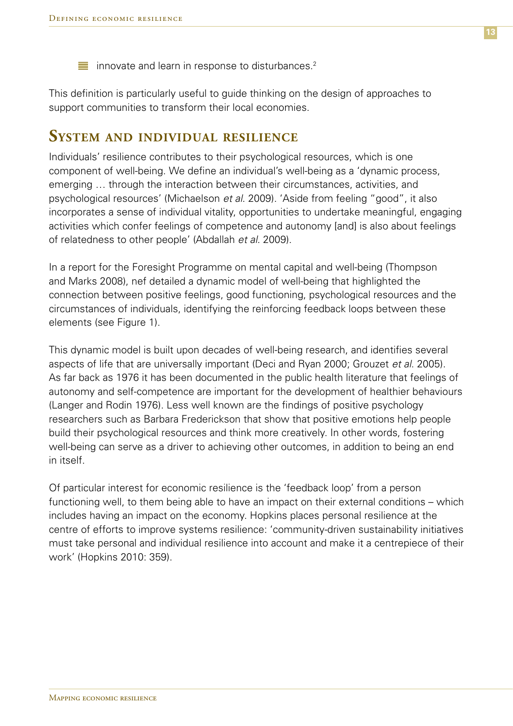$\equiv$  innovate and learn in response to disturbances.<sup>2</sup>

This definition is particularly useful to guide thinking on the design of approaches to support communities to transform their local economies.

### **System and individual resilience**

Individuals' resilience contributes to their psychological resources, which is one component of well-being. We define an individual's well-being as a 'dynamic process, emerging … through the interaction between their circumstances, activities, and psychological resources' (Michaelson *et al*. 2009). 'Aside from feeling "good", it also incorporates a sense of individual vitality, opportunities to undertake meaningful, engaging activities which confer feelings of competence and autonomy [and] is also about feelings of relatedness to other people' (Abdallah *et al*. 2009).

In a report for the Foresight Programme on mental capital and well-being (Thompson and Marks 2008), nef detailed a dynamic model of well-being that highlighted the connection between positive feelings, good functioning, psychological resources and the circumstances of individuals, identifying the reinforcing feedback loops between these elements (see Figure 1).

This dynamic model is built upon decades of well-being research, and identifies several aspects of life that are universally important (Deci and Ryan 2000; Grouzet *et al*. 2005). As far back as 1976 it has been documented in the public health literature that feelings of autonomy and self-competence are important for the development of healthier behaviours (Langer and Rodin 1976). Less well known are the findings of positive psychology researchers such as Barbara Frederickson that show that positive emotions help people build their psychological resources and think more creatively. In other words, fostering well-being can serve as a driver to achieving other outcomes, in addition to being an end in itself.

Of particular interest for economic resilience is the 'feedback loop' from a person functioning well, to them being able to have an impact on their external conditions – which includes having an impact on the economy. Hopkins places personal resilience at the centre of efforts to improve systems resilience: 'community-driven sustainability initiatives must take personal and individual resilience into account and make it a centrepiece of their work' (Hopkins 2010: 359).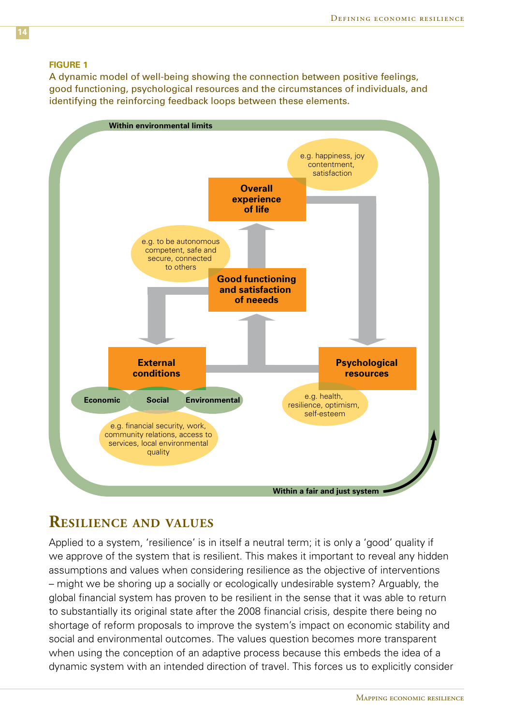#### **Figure 1**

A dynamic model of well-being showing the connection between positive feelings, good functioning, psychological resources and the circumstances of individuals, and identifying the reinforcing feedback loops between these elements.



### **Resilience and values**

Applied to a system, 'resilience' is in itself a neutral term; it is only a 'good' quality if we approve of the system that is resilient. This makes it important to reveal any hidden assumptions and values when considering resilience as the objective of interventions – might we be shoring up a socially or ecologically undesirable system? Arguably, the global financial system has proven to be resilient in the sense that it was able to return to substantially its original state after the 2008 financial crisis, despite there being no shortage of reform proposals to improve the system's impact on economic stability and social and environmental outcomes. The values question becomes more transparent when using the conception of an adaptive process because this embeds the idea of a dynamic system with an intended direction of travel. This forces us to explicitly consider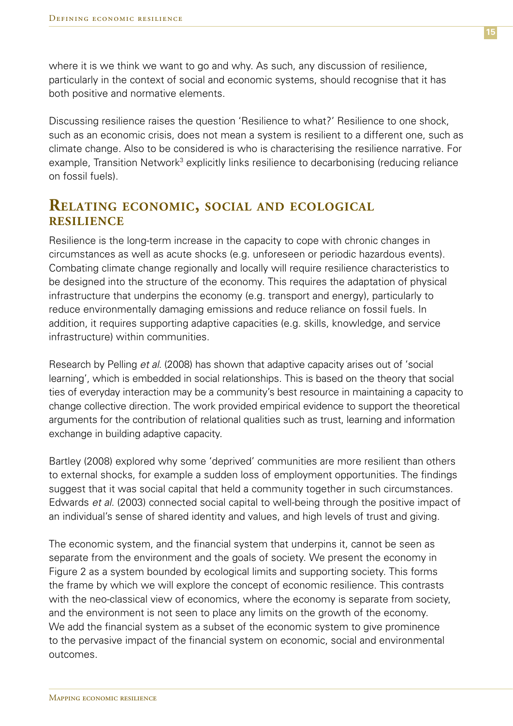where it is we think we want to go and why. As such, any discussion of resilience, particularly in the context of social and economic systems, should recognise that it has both positive and normative elements.

Discussing resilience raises the question 'Resilience to what?' Resilience to one shock, such as an economic crisis, does not mean a system is resilient to a different one, such as climate change. Also to be considered is who is characterising the resilience narrative. For example, Transition Network<sup>3</sup> explicitly links resilience to decarbonising (reducing reliance on fossil fuels).

### **Relating economic, social and ecological resilience**

Resilience is the long-term increase in the capacity to cope with chronic changes in circumstances as well as acute shocks (e.g. unforeseen or periodic hazardous events). Combating climate change regionally and locally will require resilience characteristics to be designed into the structure of the economy. This requires the adaptation of physical infrastructure that underpins the economy (e.g. transport and energy), particularly to reduce environmentally damaging emissions and reduce reliance on fossil fuels. In addition, it requires supporting adaptive capacities (e.g. skills, knowledge, and service infrastructure) within communities.

Research by Pelling *et al*. (2008) has shown that adaptive capacity arises out of 'social learning', which is embedded in social relationships. This is based on the theory that social ties of everyday interaction may be a community's best resource in maintaining a capacity to change collective direction. The work provided empirical evidence to support the theoretical arguments for the contribution of relational qualities such as trust, learning and information exchange in building adaptive capacity.

Bartley (2008) explored why some 'deprived' communities are more resilient than others to external shocks, for example a sudden loss of employment opportunities. The findings suggest that it was social capital that held a community together in such circumstances. Edwards *et al.* (2003) connected social capital to well-being through the positive impact of an individual's sense of shared identity and values, and high levels of trust and giving.

The economic system, and the financial system that underpins it, cannot be seen as separate from the environment and the goals of society. We present the economy in Figure 2 as a system bounded by ecological limits and supporting society. This forms the frame by which we will explore the concept of economic resilience. This contrasts with the neo-classical view of economics, where the economy is separate from society, and the environment is not seen to place any limits on the growth of the economy. We add the financial system as a subset of the economic system to give prominence to the pervasive impact of the financial system on economic, social and environmental outcomes.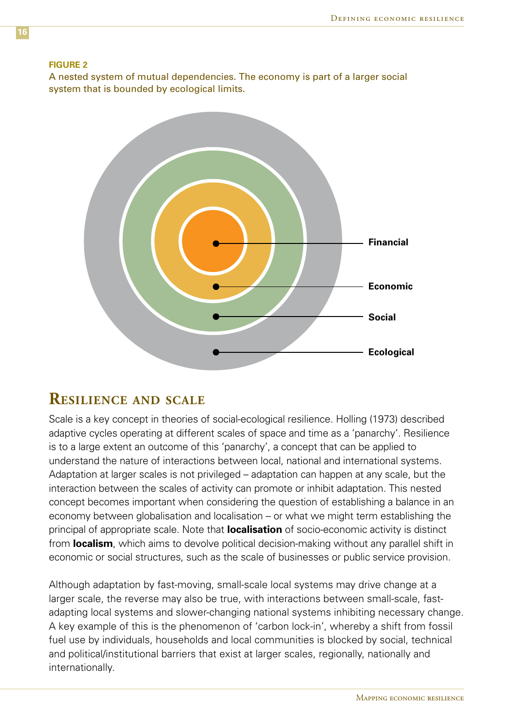#### **Figure 2**

A nested system of mutual dependencies. The economy is part of a larger social system that is bounded by ecological limits.



### **Resilience and scale**

Scale is a key concept in theories of social-ecological resilience. Holling (1973) described adaptive cycles operating at different scales of space and time as a 'panarchy'. Resilience is to a large extent an outcome of this 'panarchy', a concept that can be applied to understand the nature of interactions between local, national and international systems. Adaptation at larger scales is not privileged – adaptation can happen at any scale, but the interaction between the scales of activity can promote or inhibit adaptation. This nested concept becomes important when considering the question of establishing a balance in an economy between globalisation and localisation – or what we might term establishing the principal of appropriate scale. Note that **localisation** of socio-economic activity is distinct from **localism**, which aims to devolve political decision-making without any parallel shift in economic or social structures, such as the scale of businesses or public service provision.

Although adaptation by fast-moving, small-scale local systems may drive change at a larger scale, the reverse may also be true, with interactions between small-scale, fastadapting local systems and slower-changing national systems inhibiting necessary change. A key example of this is the phenomenon of 'carbon lock-in', whereby a shift from fossil fuel use by individuals, households and local communities is blocked by social, technical and political/institutional barriers that exist at larger scales, regionally, nationally and internationally.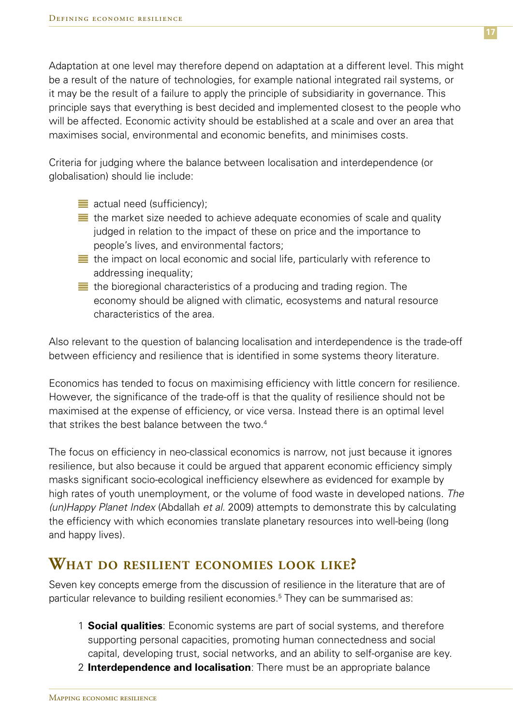Adaptation at one level may therefore depend on adaptation at a different level. This might be a result of the nature of technologies, for example national integrated rail systems, or it may be the result of a failure to apply the principle of subsidiarity in governance. This principle says that everything is best decided and implemented closest to the people who will be affected. Economic activity should be established at a scale and over an area that maximises social, environmental and economic benefits, and minimises costs.

Criteria for judging where the balance between localisation and interdependence (or globalisation) should lie include:

- **actual need (sufficiency);**
- $\equiv$  the market size needed to achieve adequate economies of scale and quality judged in relation to the impact of these on price and the importance to people's lives, and environmental factors;
- $\equiv$  the impact on local economic and social life, particularly with reference to addressing inequality;
- $\equiv$  the bioregional characteristics of a producing and trading region. The economy should be aligned with climatic, ecosystems and natural resource characteristics of the area.

Also relevant to the question of balancing localisation and interdependence is the trade-off between efficiency and resilience that is identified in some systems theory literature.

Economics has tended to focus on maximising efficiency with little concern for resilience. However, the significance of the trade-off is that the quality of resilience should not be maximised at the expense of efficiency, or vice versa. Instead there is an optimal level that strikes the best balance between the two. $4$ 

The focus on efficiency in neo-classical economics is narrow, not just because it ignores resilience, but also because it could be argued that apparent economic efficiency simply masks significant socio-ecological inefficiency elsewhere as evidenced for example by high rates of youth unemployment, or the volume of food waste in developed nations. *The (un)Happy Planet Index* (Abdallah *et al*. 2009) attempts to demonstrate this by calculating the efficiency with which economies translate planetary resources into well-being (long and happy lives).

### **What do resilient economies look like?**

Seven key concepts emerge from the discussion of resilience in the literature that are of particular relevance to building resilient economies.<sup>5</sup> They can be summarised as:

- 1 **Social qualities**: Economic systems are part of social systems, and therefore supporting personal capacities, promoting human connectedness and social capital, developing trust, social networks, and an ability to self-organise are key.
- 2 **Interdependence and localisation**: There must be an appropriate balance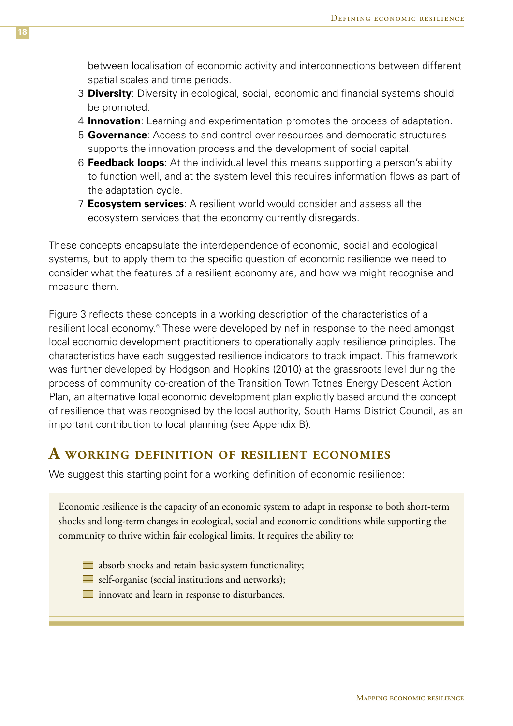between localisation of economic activity and interconnections between different spatial scales and time periods.

- 3 **Diversity**: Diversity in ecological, social, economic and financial systems should be promoted.
- 4 **Innovation**: Learning and experimentation promotes the process of adaptation.
- 5 **Governance**: Access to and control over resources and democratic structures supports the innovation process and the development of social capital.
- 6 **Feedback loops**: At the individual level this means supporting a person's ability to function well, and at the system level this requires information flows as part of the adaptation cycle.
- 7 **Ecosystem services**: A resilient world would consider and assess all the ecosystem services that the economy currently disregards.

These concepts encapsulate the interdependence of economic, social and ecological systems, but to apply them to the specific question of economic resilience we need to consider what the features of a resilient economy are, and how we might recognise and measure them.

Figure 3 reflects these concepts in a working description of the characteristics of a resilient local economy.<sup>6</sup> These were developed by nef in response to the need amongst local economic development practitioners to operationally apply resilience principles. The characteristics have each suggested resilience indicators to track impact. This framework was further developed by Hodgson and Hopkins (2010) at the grassroots level during the process of community co-creation of the Transition Town Totnes Energy Descent Action Plan, an alternative local economic development plan explicitly based around the concept of resilience that was recognised by the local authority, South Hams District Council, as an important contribution to local planning (see Appendix B).

### **A working definition of resilient economies**

We suggest this starting point for a working definition of economic resilience:

Economic resilience is the capacity of an economic system to adapt in response to both short-term shocks and long-term changes in ecological, social and economic conditions while supporting the community to thrive within fair ecological limits. It requires the ability to:

- $\equiv$  absorb shocks and retain basic system functionality;
- $\equiv$  self-organise (social institutions and networks);
- $\equiv$  innovate and learn in response to disturbances.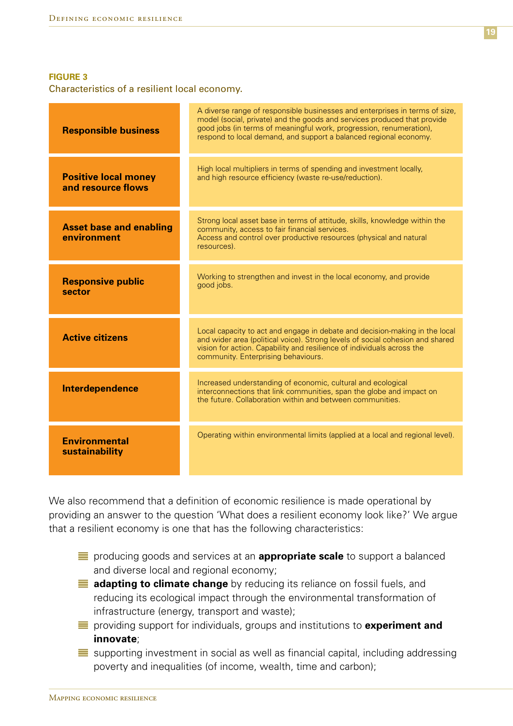#### **Figure 3**

Characteristics of a resilient local economy.

| <b>Responsible business</b>                       | A diverse range of responsible businesses and enterprises in terms of size,<br>model (social, private) and the goods and services produced that provide<br>good jobs (in terms of meaningful work, progression, renumeration),<br>respond to local demand, and support a balanced regional economy. |  |  |
|---------------------------------------------------|-----------------------------------------------------------------------------------------------------------------------------------------------------------------------------------------------------------------------------------------------------------------------------------------------------|--|--|
| <b>Positive local money</b><br>and resource flows | High local multipliers in terms of spending and investment locally,<br>and high resource efficiency (waste re-use/reduction).                                                                                                                                                                       |  |  |
| <b>Asset base and enabling</b><br>environment     | Strong local asset base in terms of attitude, skills, knowledge within the<br>community, access to fair financial services.<br>Access and control over productive resources (physical and natural<br>resources).                                                                                    |  |  |
| <b>Responsive public</b><br>sector                | Working to strengthen and invest in the local economy, and provide<br>good jobs.                                                                                                                                                                                                                    |  |  |
| <b>Active citizens</b>                            | Local capacity to act and engage in debate and decision-making in the local<br>and wider area (political voice). Strong levels of social cohesion and shared<br>vision for action. Capability and resilience of individuals across the<br>community. Enterprising behaviours.                       |  |  |
| Interdependence                                   | Increased understanding of economic, cultural and ecological<br>interconnections that link communities, span the globe and impact on<br>the future. Collaboration within and between communities                                                                                                    |  |  |
| <b>Environmental</b><br>sustainability            | Operating within environmental limits (applied at a local and regional level).                                                                                                                                                                                                                      |  |  |

We also recommend that a definition of economic resilience is made operational by providing an answer to the question 'What does a resilient economy look like?' We argue that a resilient economy is one that has the following characteristics:

- **EX** producing goods and services at an **appropriate scale** to support a balanced and diverse local and regional economy;
- **adapting to climate change** by reducing its reliance on fossil fuels, and reducing its ecological impact through the environmental transformation of infrastructure (energy, transport and waste);
- providing support for individuals, groups and institutions to **experiment and innovate**;
- $\equiv$  supporting investment in social as well as financial capital, including addressing poverty and inequalities (of income, wealth, time and carbon);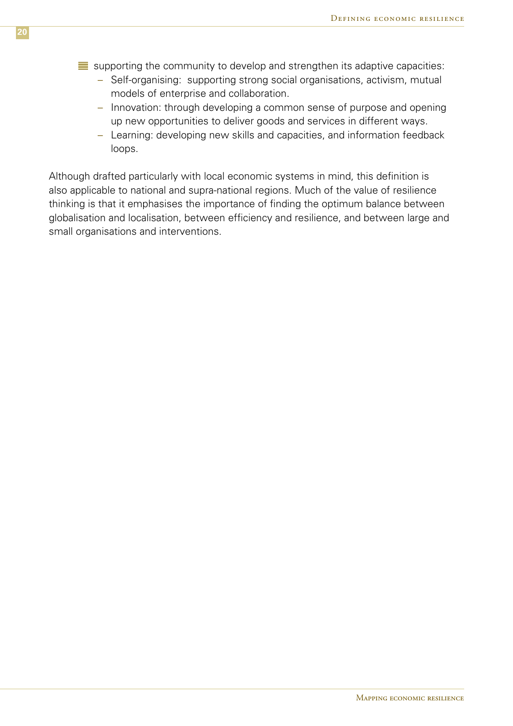- $\equiv$  supporting the community to develop and strengthen its adaptive capacities:
	- Self-organising: supporting strong social organisations, activism, mutual models of enterprise and collaboration.
	- Innovation: through developing a common sense of purpose and opening up new opportunities to deliver goods and services in different ways.
	- Learning: developing new skills and capacities, and information feedback loops.

Although drafted particularly with local economic systems in mind, this definition is also applicable to national and supra-national regions. Much of the value of resilience thinking is that it emphasises the importance of finding the optimum balance between globalisation and localisation, between efficiency and resilience, and between large and small organisations and interventions.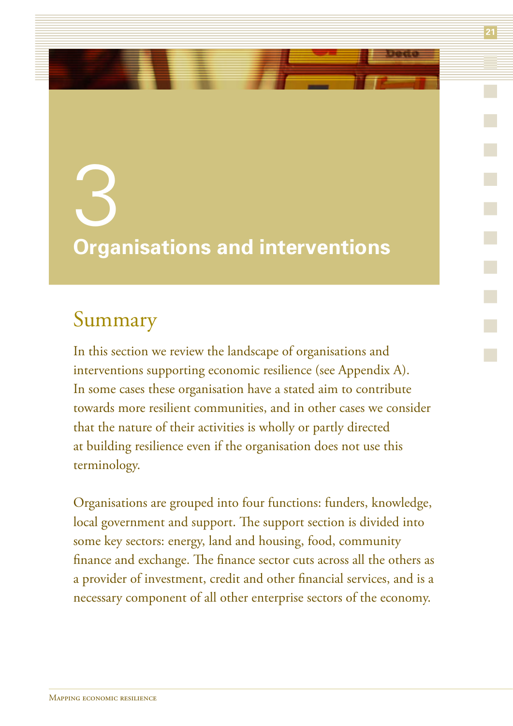# 3 **Organisations and interventions**

**21**

### Summary

In this section we review the landscape of organisations and interventions supporting economic resilience (see Appendix A). In some cases these organisation have a stated aim to contribute towards more resilient communities, and in other cases we consider that the nature of their activities is wholly or partly directed at building resilience even if the organisation does not use this terminology.

Organisations are grouped into four functions: funders, knowledge, local government and support. The support section is divided into some key sectors: energy, land and housing, food, community finance and exchange. The finance sector cuts across all the others as a provider of investment, credit and other financial services, and is a necessary component of all other enterprise sectors of the economy.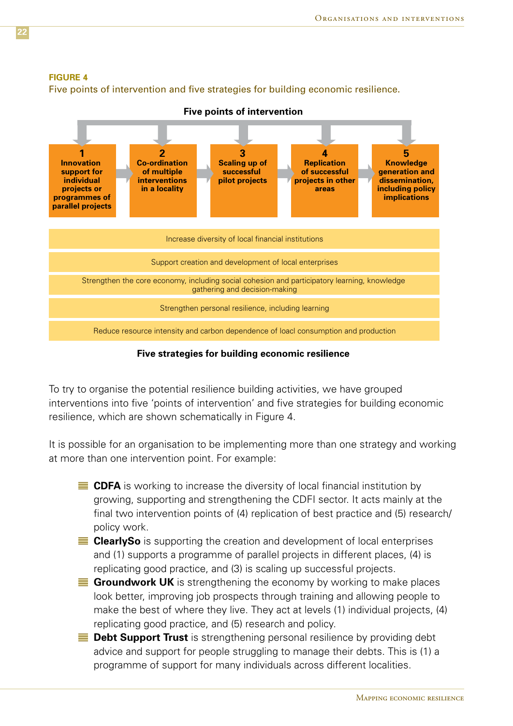#### **Figure 4**

Five points of intervention and five strategies for building economic resilience.



**Five strategies for building economic resilience**

To try to organise the potential resilience building activities, we have grouped interventions into five 'points of intervention' and five strategies for building economic resilience, which are shown schematically in Figure 4.

It is possible for an organisation to be implementing more than one strategy and working at more than one intervention point. For example:

- **CDFA** is working to increase the diversity of local financial institution by growing, supporting and strengthening the CDFI sector. It acts mainly at the final two intervention points of (4) replication of best practice and (5) research/ policy work.
- **ClearlySo** is supporting the creation and development of local enterprises and (1) supports a programme of parallel projects in different places, (4) is replicating good practice, and (3) is scaling up successful projects.
- **Groundwork UK** is strengthening the economy by working to make places look better, improving job prospects through training and allowing people to make the best of where they live. They act at levels (1) individual projects, (4) replicating good practice, and (5) research and policy.
- **Debt Support Trust** is strengthening personal resilience by providing debt advice and support for people struggling to manage their debts. This is (1) a programme of support for many individuals across different localities.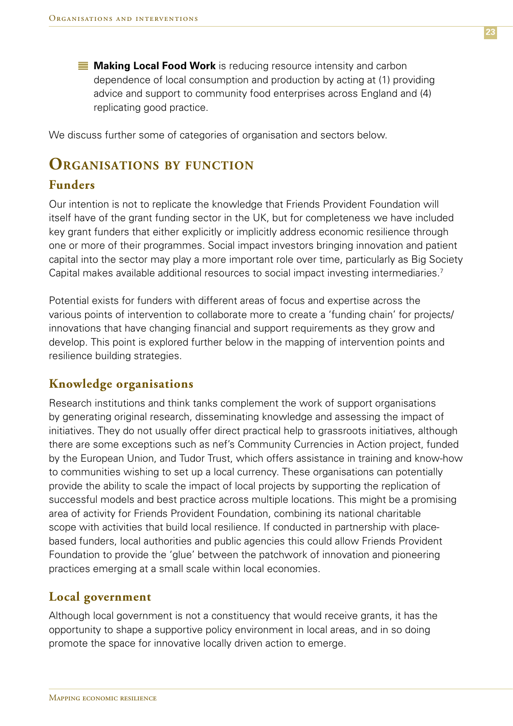**Making Local Food Work** is reducing resource intensity and carbon dependence of local consumption and production by acting at (1) providing advice and support to community food enterprises across England and (4) replicating good practice.

We discuss further some of categories of organisation and sectors below.

### **Organisations by function**

### **Funders**

Our intention is not to replicate the knowledge that Friends Provident Foundation will itself have of the grant funding sector in the UK, but for completeness we have included key grant funders that either explicitly or implicitly address economic resilience through one or more of their programmes. Social impact investors bringing innovation and patient capital into the sector may play a more important role over time, particularly as Big Society Capital makes available additional resources to social impact investing intermediaries.7

Potential exists for funders with different areas of focus and expertise across the various points of intervention to collaborate more to create a 'funding chain' for projects/ innovations that have changing financial and support requirements as they grow and develop. This point is explored further below in the mapping of intervention points and resilience building strategies.

### **Knowledge organisations**

Research institutions and think tanks complement the work of support organisations by generating original research, disseminating knowledge and assessing the impact of initiatives. They do not usually offer direct practical help to grassroots initiatives, although there are some exceptions such as nef's Community Currencies in Action project, funded by the European Union, and Tudor Trust, which offers assistance in training and know-how to communities wishing to set up a local currency. These organisations can potentially provide the ability to scale the impact of local projects by supporting the replication of successful models and best practice across multiple locations. This might be a promising area of activity for Friends Provident Foundation, combining its national charitable scope with activities that build local resilience. If conducted in partnership with placebased funders, local authorities and public agencies this could allow Friends Provident Foundation to provide the 'glue' between the patchwork of innovation and pioneering practices emerging at a small scale within local economies.

### **Local government**

Although local government is not a constituency that would receive grants, it has the opportunity to shape a supportive policy environment in local areas, and in so doing promote the space for innovative locally driven action to emerge.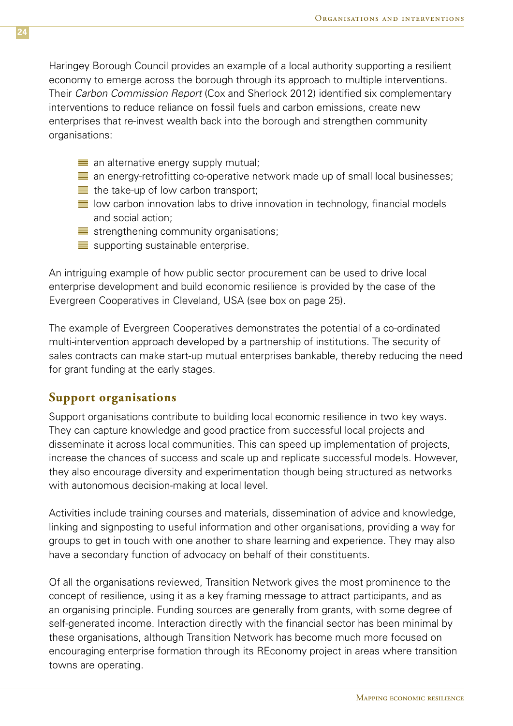Haringey Borough Council provides an example of a local authority supporting a resilient economy to emerge across the borough through its approach to multiple interventions. Their *Carbon Commission Report* (Cox and Sherlock 2012) identified six complementary interventions to reduce reliance on fossil fuels and carbon emissions, create new enterprises that re-invest wealth back into the borough and strengthen community organisations:

- $\equiv$  an alternative energy supply mutual;
- $\equiv$  an energy-retrofitting co-operative network made up of small local businesses;
- $\equiv$  the take-up of low carbon transport;
- $\equiv$  low carbon innovation labs to drive innovation in technology, financial models and social action;
- $\equiv$  strengthening community organisations;
- $\equiv$  supporting sustainable enterprise.

An intriguing example of how public sector procurement can be used to drive local enterprise development and build economic resilience is provided by the case of the Evergreen Cooperatives in Cleveland, USA (see box on page 25).

The example of Evergreen Cooperatives demonstrates the potential of a co-ordinated multi-intervention approach developed by a partnership of institutions. The security of sales contracts can make start-up mutual enterprises bankable, thereby reducing the need for grant funding at the early stages.

### **Support organisations**

Support organisations contribute to building local economic resilience in two key ways. They can capture knowledge and good practice from successful local projects and disseminate it across local communities. This can speed up implementation of projects, increase the chances of success and scale up and replicate successful models. However, they also encourage diversity and experimentation though being structured as networks with autonomous decision-making at local level.

Activities include training courses and materials, dissemination of advice and knowledge, linking and signposting to useful information and other organisations, providing a way for groups to get in touch with one another to share learning and experience. They may also have a secondary function of advocacy on behalf of their constituents.

Of all the organisations reviewed, Transition Network gives the most prominence to the concept of resilience, using it as a key framing message to attract participants, and as an organising principle. Funding sources are generally from grants, with some degree of self-generated income. Interaction directly with the financial sector has been minimal by these organisations, although Transition Network has become much more focused on encouraging enterprise formation through its REconomy project in areas where transition towns are operating.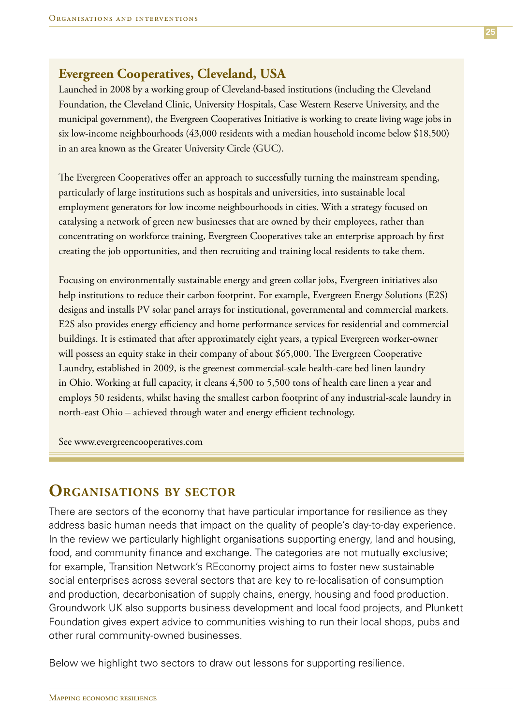### **Evergreen Cooperatives, Cleveland, USA**

Launched in 2008 by a working group of Cleveland-based institutions (including the Cleveland Foundation, the Cleveland Clinic, University Hospitals, Case Western Reserve University, and the municipal government), the Evergreen Cooperatives Initiative is working to create living wage jobs in six low-income neighbourhoods (43,000 residents with a median household income below \$18,500) in an area known as the Greater University Circle (GUC).

The Evergreen Cooperatives offer an approach to successfully turning the mainstream spending, particularly of large institutions such as hospitals and universities, into sustainable local employment generators for low income neighbourhoods in cities. With a strategy focused on catalysing a network of green new businesses that are owned by their employees, rather than concentrating on workforce training, Evergreen Cooperatives take an enterprise approach by first creating the job opportunities, and then recruiting and training local residents to take them.

Focusing on environmentally sustainable energy and green collar jobs, Evergreen initiatives also help institutions to reduce their carbon footprint. For example, Evergreen Energy Solutions (E2S) designs and installs PV solar panel arrays for institutional, governmental and commercial markets. E2S also provides energy efficiency and home performance services for residential and commercial buildings. It is estimated that after approximately eight years, a typical Evergreen worker-owner will possess an equity stake in their company of about \$65,000. The Evergreen Cooperative Laundry, established in 2009, is the greenest commercial-scale health-care bed linen laundry in Ohio. Working at full capacity, it cleans 4,500 to 5,500 tons of health care linen a year and employs 50 residents, whilst having the smallest carbon footprint of any industrial-scale laundry in north-east Ohio – achieved through water and energy efficient technology.

See www.evergreencooperatives.com

### **Organisations by sector**

There are sectors of the economy that have particular importance for resilience as they address basic human needs that impact on the quality of people's day-to-day experience. In the review we particularly highlight organisations supporting energy, land and housing, food, and community finance and exchange. The categories are not mutually exclusive; for example, Transition Network's REconomy project aims to foster new sustainable social enterprises across several sectors that are key to re-localisation of consumption and production, decarbonisation of supply chains, energy, housing and food production. Groundwork UK also supports business development and local food projects, and Plunkett Foundation gives expert advice to communities wishing to run their local shops, pubs and other rural community-owned businesses.

Below we highlight two sectors to draw out lessons for supporting resilience.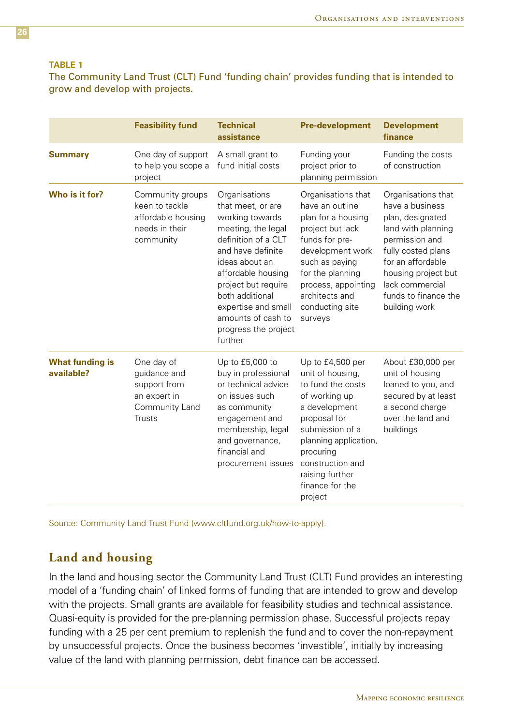#### **Table 1**

The Community Land Trust (CLT) Fund 'funding chain' provides funding that is intended to grow and develop with projects.

|                                      | <b>Feasibility fund</b>                                                                       | <b>Technical</b><br>assistance                                                                                                                                                                                                                                                            | <b>Pre-development</b>                                                                                                                                                                                                                    | <b>Development</b><br>finance                                                                                                                                                                                                   |
|--------------------------------------|-----------------------------------------------------------------------------------------------|-------------------------------------------------------------------------------------------------------------------------------------------------------------------------------------------------------------------------------------------------------------------------------------------|-------------------------------------------------------------------------------------------------------------------------------------------------------------------------------------------------------------------------------------------|---------------------------------------------------------------------------------------------------------------------------------------------------------------------------------------------------------------------------------|
| <b>Summary</b>                       | One day of support<br>to help you scope a<br>project                                          | A small grant to<br>fund initial costs                                                                                                                                                                                                                                                    | Funding your<br>project prior to<br>planning permission                                                                                                                                                                                   | Funding the costs<br>of construction                                                                                                                                                                                            |
| Who is it for?                       | Community groups<br>keen to tackle<br>affordable housing<br>needs in their<br>community       | Organisations<br>that meet, or are<br>working towards<br>meeting, the legal<br>definition of a CLT<br>and have definite<br>ideas about an<br>affordable housing<br>project but require<br>both additional<br>expertise and small<br>amounts of cash to<br>progress the project<br>further | Organisations that<br>have an outline<br>plan for a housing<br>project but lack<br>funds for pre-<br>development work<br>such as paying<br>for the planning<br>process, appointing<br>architects and<br>conducting site<br>surveys        | Organisations that<br>have a business<br>plan, designated<br>land with planning<br>permission and<br>fully costed plans<br>for an affordable<br>housing project but<br>lack commercial<br>funds to finance the<br>building work |
| <b>What funding is</b><br>available? | One day of<br>guidance and<br>support from<br>an expert in<br>Community Land<br><b>Trusts</b> | Up to £5,000 to<br>buy in professional<br>or technical advice<br>on issues such<br>as community<br>engagement and<br>membership, legal<br>and governance,<br>financial and<br>procurement issues                                                                                          | Up to £4,500 per<br>unit of housing,<br>to fund the costs<br>of working up<br>a development<br>proposal for<br>submission of a<br>planning application,<br>procuring<br>construction and<br>raising further<br>finance for the<br>project | About £30,000 per<br>unit of housing<br>loaned to you, and<br>secured by at least<br>a second charge<br>over the land and<br>buildings                                                                                          |

Source: Community Land Trust Fund (www.cltfund.org.uk/how-to-apply).

### **Land and housing**

In the land and housing sector the Community Land Trust (CLT) Fund provides an interesting model of a 'funding chain' of linked forms of funding that are intended to grow and develop with the projects. Small grants are available for feasibility studies and technical assistance. Quasi-equity is provided for the pre-planning permission phase. Successful projects repay funding with a 25 per cent premium to replenish the fund and to cover the non-repayment by unsuccessful projects. Once the business becomes 'investible', initially by increasing value of the land with planning permission, debt finance can be accessed.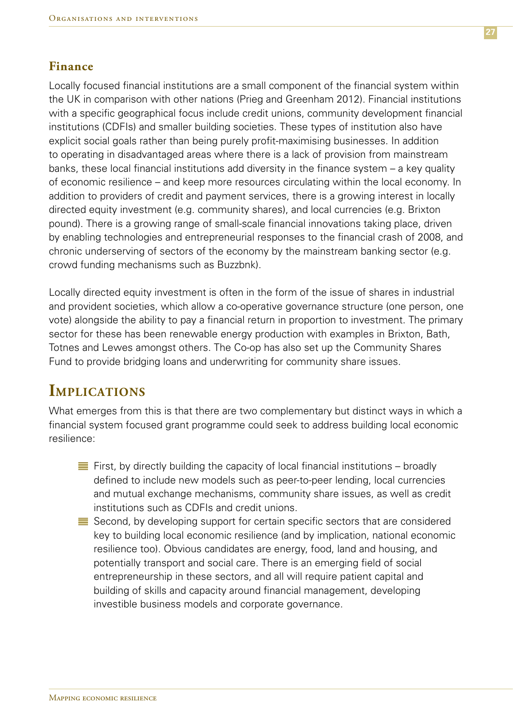### **Finance**

Locally focused financial institutions are a small component of the financial system within the UK in comparison with other nations (Prieg and Greenham 2012). Financial institutions with a specific geographical focus include credit unions, community development financial institutions (CDFIs) and smaller building societies. These types of institution also have explicit social goals rather than being purely profit-maximising businesses. In addition to operating in disadvantaged areas where there is a lack of provision from mainstream banks, these local financial institutions add diversity in the finance system – a key quality of economic resilience – and keep more resources circulating within the local economy. In addition to providers of credit and payment services, there is a growing interest in locally directed equity investment (e.g. community shares), and local currencies (e.g. Brixton pound). There is a growing range of small-scale financial innovations taking place, driven by enabling technologies and entrepreneurial responses to the financial crash of 2008, and chronic underserving of sectors of the economy by the mainstream banking sector (e.g. crowd funding mechanisms such as Buzzbnk).

Locally directed equity investment is often in the form of the issue of shares in industrial and provident societies, which allow a co-operative governance structure (one person, one vote) alongside the ability to pay a financial return in proportion to investment. The primary sector for these has been renewable energy production with examples in Brixton, Bath, Totnes and Lewes amongst others. The Co-op has also set up the Community Shares Fund to provide bridging loans and underwriting for community share issues.

### **Implications**

What emerges from this is that there are two complementary but distinct ways in which a financial system focused grant programme could seek to address building local economic resilience:

- $\equiv$  First, by directly building the capacity of local financial institutions broadly defined to include new models such as peer-to-peer lending, local currencies and mutual exchange mechanisms, community share issues, as well as credit institutions such as CDFIs and credit unions.
- $\equiv$  Second, by developing support for certain specific sectors that are considered key to building local economic resilience (and by implication, national economic resilience too). Obvious candidates are energy, food, land and housing, and potentially transport and social care. There is an emerging field of social entrepreneurship in these sectors, and all will require patient capital and building of skills and capacity around financial management, developing investible business models and corporate governance.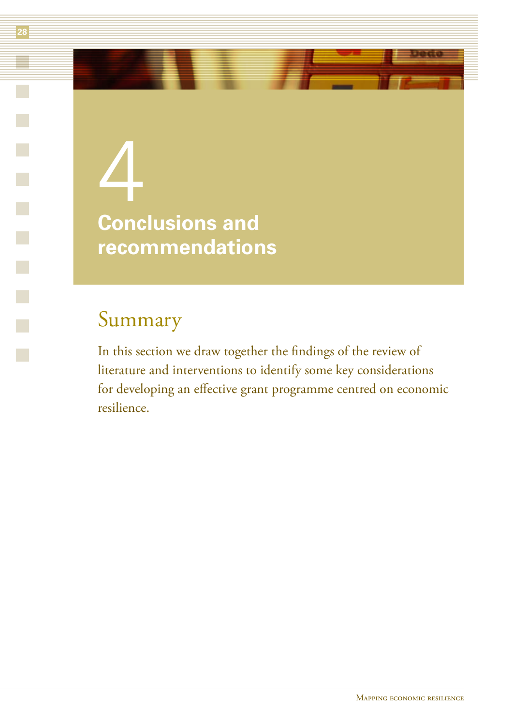## 4 **Conclusions and recommendations**

### Summary

In this section we draw together the findings of the review of literature and interventions to identify some key considerations for developing an effective grant programme centred on economic resilience.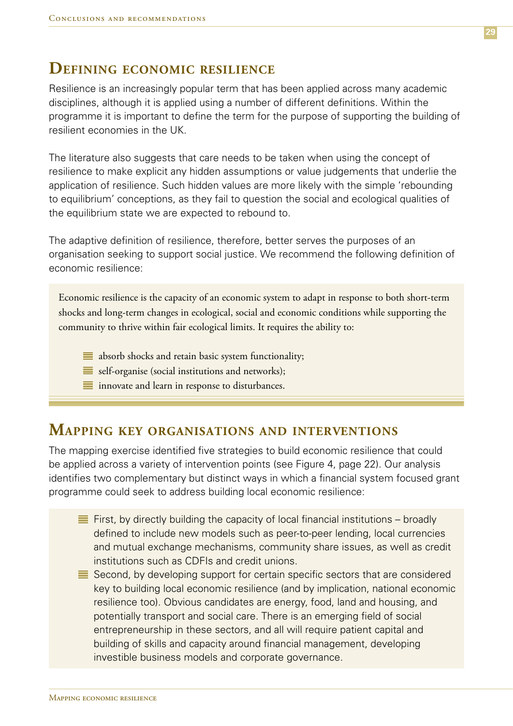### **Defining economic resilience**

Resilience is an increasingly popular term that has been applied across many academic disciplines, although it is applied using a number of different definitions. Within the programme it is important to define the term for the purpose of supporting the building of resilient economies in the UK.

The literature also suggests that care needs to be taken when using the concept of resilience to make explicit any hidden assumptions or value judgements that underlie the application of resilience. Such hidden values are more likely with the simple 'rebounding to equilibrium' conceptions, as they fail to question the social and ecological qualities of the equilibrium state we are expected to rebound to.

The adaptive definition of resilience, therefore, better serves the purposes of an organisation seeking to support social justice. We recommend the following definition of economic resilience:

Economic resilience is the capacity of an economic system to adapt in response to both short-term shocks and long-term changes in ecological, social and economic conditions while supporting the community to thrive within fair ecological limits. It requires the ability to:

- $\equiv$  absorb shocks and retain basic system functionality;
- $\equiv$  self-organise (social institutions and networks);
- $\equiv$  innovate and learn in response to disturbances.

### **Mapping key organisations and interventions**

The mapping exercise identified five strategies to build economic resilience that could be applied across a variety of intervention points (see Figure 4, page 22). Our analysis identifies two complementary but distinct ways in which a financial system focused grant programme could seek to address building local economic resilience:

- $\equiv$  First, by directly building the capacity of local financial institutions broadly defined to include new models such as peer-to-peer lending, local currencies and mutual exchange mechanisms, community share issues, as well as credit institutions such as CDFIs and credit unions.
- $\equiv$  Second, by developing support for certain specific sectors that are considered key to building local economic resilience (and by implication, national economic resilience too). Obvious candidates are energy, food, land and housing, and potentially transport and social care. There is an emerging field of social entrepreneurship in these sectors, and all will require patient capital and building of skills and capacity around financial management, developing investible business models and corporate governance.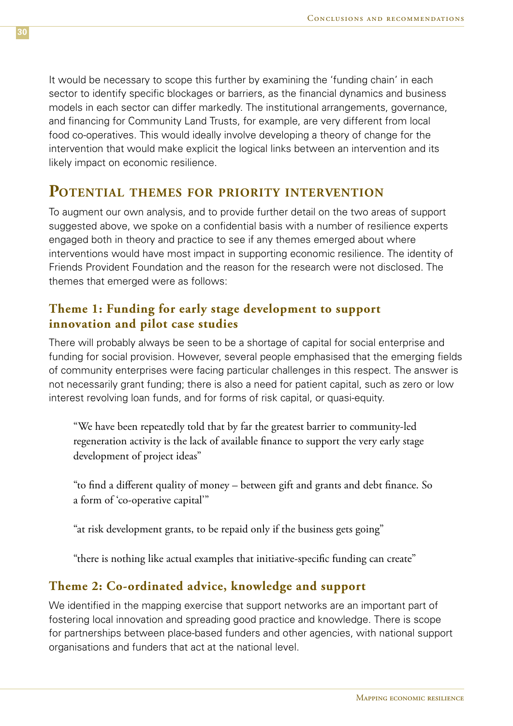It would be necessary to scope this further by examining the 'funding chain' in each sector to identify specific blockages or barriers, as the financial dynamics and business models in each sector can differ markedly. The institutional arrangements, governance, and financing for Community Land Trusts, for example, are very different from local food co-operatives. This would ideally involve developing a theory of change for the intervention that would make explicit the logical links between an intervention and its likely impact on economic resilience.

### **Potential themes for priority intervention**

To augment our own analysis, and to provide further detail on the two areas of support suggested above, we spoke on a confidential basis with a number of resilience experts engaged both in theory and practice to see if any themes emerged about where interventions would have most impact in supporting economic resilience. The identity of Friends Provident Foundation and the reason for the research were not disclosed. The themes that emerged were as follows:

### **Theme 1: Funding for early stage development to support innovation and pilot case studies**

There will probably always be seen to be a shortage of capital for social enterprise and funding for social provision. However, several people emphasised that the emerging fields of community enterprises were facing particular challenges in this respect. The answer is not necessarily grant funding; there is also a need for patient capital, such as zero or low interest revolving loan funds, and for forms of risk capital, or quasi-equity.

"We have been repeatedly told that by far the greatest barrier to community-led regeneration activity is the lack of available finance to support the very early stage development of project ideas"

"to find a different quality of money – between gift and grants and debt finance. So a form of 'co-operative capital'"

"at risk development grants, to be repaid only if the business gets going"

"there is nothing like actual examples that initiative-specific funding can create"

### **Theme 2: Co-ordinated advice, knowledge and support**

We identified in the mapping exercise that support networks are an important part of fostering local innovation and spreading good practice and knowledge. There is scope for partnerships between place-based funders and other agencies, with national support organisations and funders that act at the national level.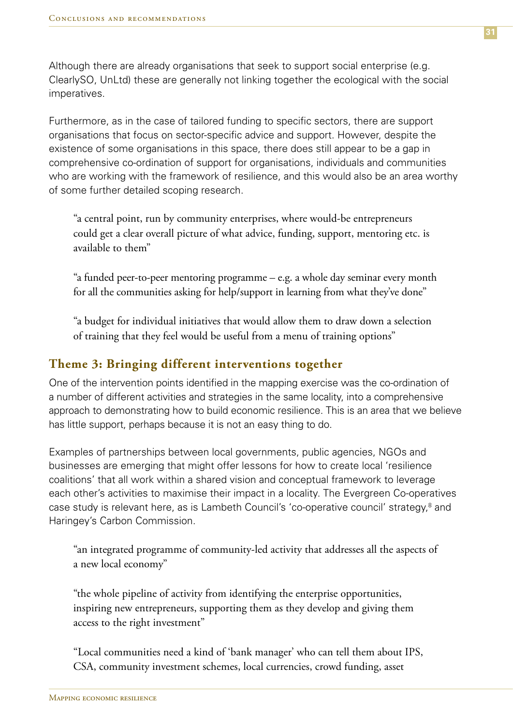Although there are already organisations that seek to support social enterprise (e.g. ClearlySO, UnLtd) these are generally not linking together the ecological with the social imperatives.

Furthermore, as in the case of tailored funding to specific sectors, there are support organisations that focus on sector-specific advice and support. However, despite the existence of some organisations in this space, there does still appear to be a gap in comprehensive co-ordination of support for organisations, individuals and communities who are working with the framework of resilience, and this would also be an area worthy of some further detailed scoping research.

"a central point, run by community enterprises, where would-be entrepreneurs could get a clear overall picture of what advice, funding, support, mentoring etc. is available to them"

"a funded peer-to-peer mentoring programme – e.g. a whole day seminar every month for all the communities asking for help/support in learning from what they've done"

"a budget for individual initiatives that would allow them to draw down a selection of training that they feel would be useful from a menu of training options"

### **Theme 3: Bringing different interventions together**

One of the intervention points identified in the mapping exercise was the co-ordination of a number of different activities and strategies in the same locality, into a comprehensive approach to demonstrating how to build economic resilience. This is an area that we believe has little support, perhaps because it is not an easy thing to do.

Examples of partnerships between local governments, public agencies, NGOs and businesses are emerging that might offer lessons for how to create local 'resilience coalitions' that all work within a shared vision and conceptual framework to leverage each other's activities to maximise their impact in a locality. The Evergreen Co-operatives case study is relevant here, as is Lambeth Council's 'co-operative council' strategy,<sup>8</sup> and Haringey's Carbon Commission.

"an integrated programme of community-led activity that addresses all the aspects of a new local economy"

"the whole pipeline of activity from identifying the enterprise opportunities, inspiring new entrepreneurs, supporting them as they develop and giving them access to the right investment"

"Local communities need a kind of 'bank manager' who can tell them about IPS, CSA, community investment schemes, local currencies, crowd funding, asset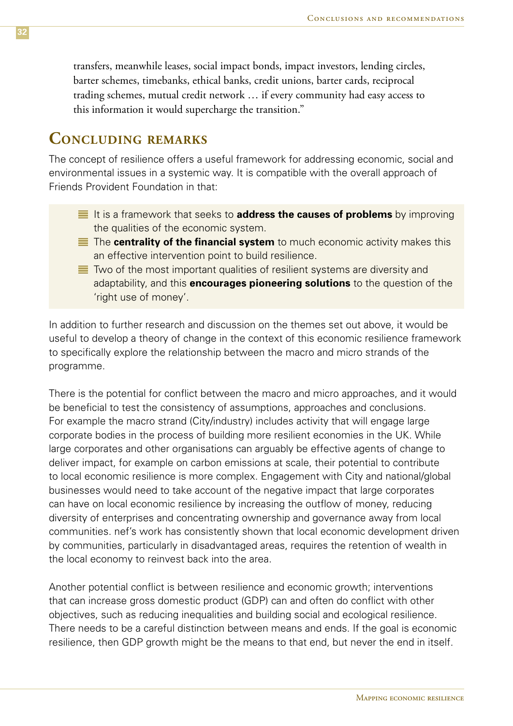transfers, meanwhile leases, social impact bonds, impact investors, lending circles, barter schemes, timebanks, ethical banks, credit unions, barter cards, reciprocal trading schemes, mutual credit network … if every community had easy access to this information it would supercharge the transition."

### **Concluding remarks**

The concept of resilience offers a useful framework for addressing economic, social and environmental issues in a systemic way. It is compatible with the overall approach of Friends Provident Foundation in that:

- **If is a framework that seeks to address the causes of problems** by improving the qualities of the economic system.
- The **centrality of the financial system** to much economic activity makes this an effective intervention point to build resilience.
- $\equiv$  Two of the most important qualities of resilient systems are diversity and adaptability, and this **encourages pioneering solutions** to the question of the 'right use of money'.

In addition to further research and discussion on the themes set out above, it would be useful to develop a theory of change in the context of this economic resilience framework to specifically explore the relationship between the macro and micro strands of the programme.

There is the potential for conflict between the macro and micro approaches, and it would be beneficial to test the consistency of assumptions, approaches and conclusions. For example the macro strand (City/industry) includes activity that will engage large corporate bodies in the process of building more resilient economies in the UK. While large corporates and other organisations can arguably be effective agents of change to deliver impact, for example on carbon emissions at scale, their potential to contribute to local economic resilience is more complex. Engagement with City and national/global businesses would need to take account of the negative impact that large corporates can have on local economic resilience by increasing the outflow of money, reducing diversity of enterprises and concentrating ownership and governance away from local communities. nef's work has consistently shown that local economic development driven by communities, particularly in disadvantaged areas, requires the retention of wealth in the local economy to reinvest back into the area.

Another potential conflict is between resilience and economic growth; interventions that can increase gross domestic product (GDP) can and often do conflict with other objectives, such as reducing inequalities and building social and ecological resilience. There needs to be a careful distinction between means and ends. If the goal is economic resilience, then GDP growth might be the means to that end, but never the end in itself.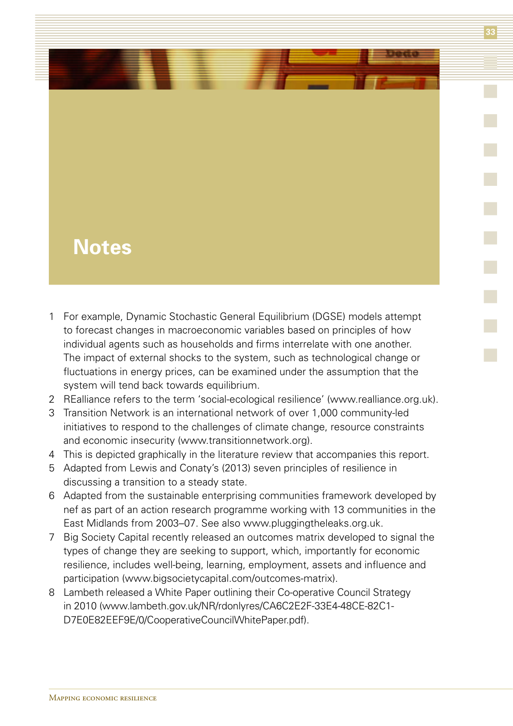### **Notes**

- 1 For example, Dynamic Stochastic General Equilibrium (DGSE) models attempt to forecast changes in macroeconomic variables based on principles of how individual agents such as households and firms interrelate with one another. The impact of external shocks to the system, such as technological change or fluctuations in energy prices, can be examined under the assumption that the system will tend back towards equilibrium.
- 2 REalliance refers to the term 'social-ecological resilience' (www.realliance.org.uk).
- 3 Transition Network is an international network of over 1,000 community-led initiatives to respond to the challenges of climate change, resource constraints and economic insecurity (www.transitionnetwork.org).
- 4 This is depicted graphically in the literature review that accompanies this report.
- 5 Adapted from Lewis and Conaty's (2013) seven principles of resilience in discussing a transition to a steady state.
- 6 Adapted from the sustainable enterprising communities framework developed by nef as part of an action research programme working with 13 communities in the East Midlands from 2003–07. See also www.pluggingtheleaks.org.uk.
- 7 Big Society Capital recently released an outcomes matrix developed to signal the types of change they are seeking to support, which, importantly for economic resilience, includes well-being, learning, employment, assets and influence and participation (www.bigsocietycapital.com/outcomes-matrix).
- 8 Lambeth released a White Paper outlining their Co-operative Council Strategy in 2010 (www.lambeth.gov.uk/NR/rdonlyres/CA6C2E2F-33E4-48CE-82C1- D7E0E82EEF9E/0/CooperativeCouncilWhitePaper.pdf).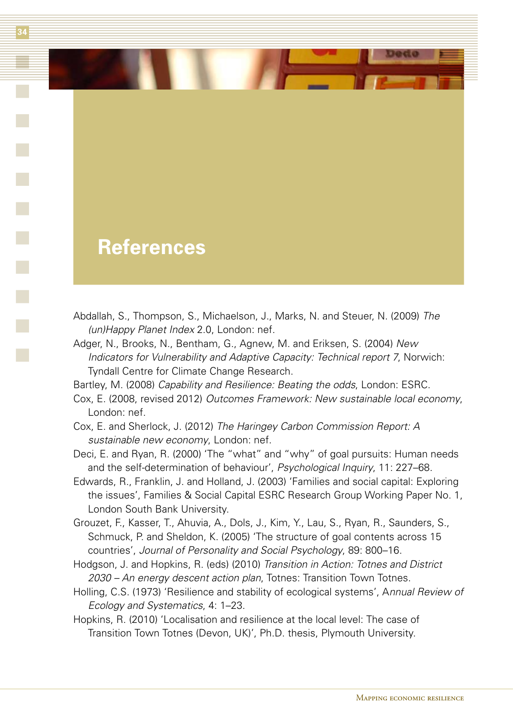### **References**

- Abdallah, S., Thompson, S., Michaelson, J., Marks, N. and Steuer, N. (2009) *The (un)Happy Planet Index* 2.0, London: nef.
- Adger, N., Brooks, N., Bentham, G., Agnew, M. and Eriksen, S. (2004) *New Indicators for Vulnerability and Adaptive Capacity: Technical report 7*, Norwich: Tyndall Centre for Climate Change Research.
- Bartley, M. (2008) *Capability and Resilience: Beating the odds*, London: ESRC.
- Cox, E. (2008, revised 2012) *Outcomes Framework: New sustainable local economy*, London: nef.
- Cox, E. and Sherlock, J. (2012) *The Haringey Carbon Commission Report: A sustainable new economy*, London: nef.
- Deci, E. and Ryan, R. (2000) 'The "what" and "why" of goal pursuits: Human needs and the self-determination of behaviour', *Psychological Inquiry*, 11: 227–68.
- Edwards, R., Franklin, J. and Holland, J. (2003) 'Families and social capital: Exploring the issues', Families & Social Capital ESRC Research Group Working Paper No. 1, London South Bank University.
- Grouzet, F., Kasser, T., Ahuvia, A., Dols, J., Kim, Y., Lau, S., Ryan, R., Saunders, S., Schmuck, P. and Sheldon, K. (2005) 'The structure of goal contents across 15 countries', *Journal of Personality and Social Psychology*, 89: 800–16.
- Hodgson, J. and Hopkins, R. (eds) (2010) *Transition in Action: Totnes and District 2030 – An energy descent action plan*, Totnes: Transition Town Totnes.
- Holling, C.S. (1973) 'Resilience and stability of ecological systems', A*nnual Review of Ecology and Systematics*, 4: 1–23.
- Hopkins, R. (2010) 'Localisation and resilience at the local level: The case of Transition Town Totnes (Devon, UK)', Ph.D. thesis, Plymouth University.

 $\mathcal{L}$  . The set of  $\mathcal{L}$